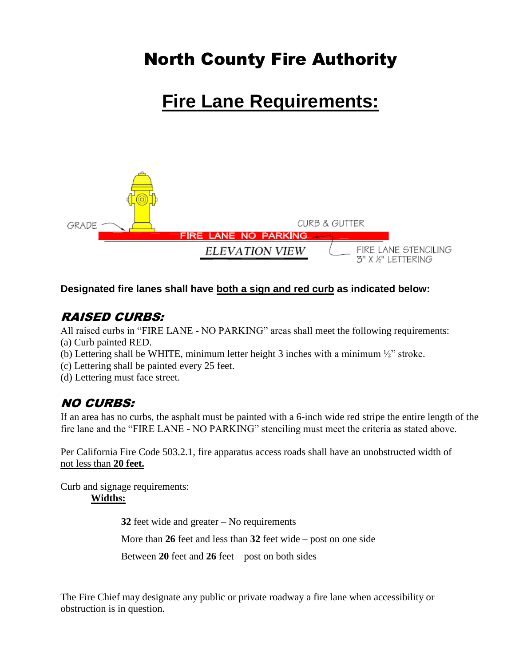## North County Fire Authority

# **Fire Lane Requirements:**



#### **Designated fire lanes shall have both a sign and red curb as indicated below:**

### RAISED CURBS:

All raised curbs in "FIRE LANE - NO PARKING" areas shall meet the following requirements: (a) Curb painted RED.

(b) Lettering shall be WHITE, minimum letter height 3 inches with a minimum ½" stroke.

(c) Lettering shall be painted every 25 feet.

(d) Lettering must face street.

### NO CURBS:

If an area has no curbs, the asphalt must be painted with a 6-inch wide red stripe the entire length of the fire lane and the "FIRE LANE - NO PARKING" stenciling must meet the criteria as stated above.

Per California Fire Code 503.2.1, fire apparatus access roads shall have an unobstructed width of not less than **20 feet.**

Curb and signage requirements:

**Widths:**

**32** feet wide and greater – No requirements More than **26** feet and less than **32** feet wide – post on one side

Between **20** feet and **26** feet – post on both sides

The Fire Chief may designate any public or private roadway a fire lane when accessibility or obstruction is in question.